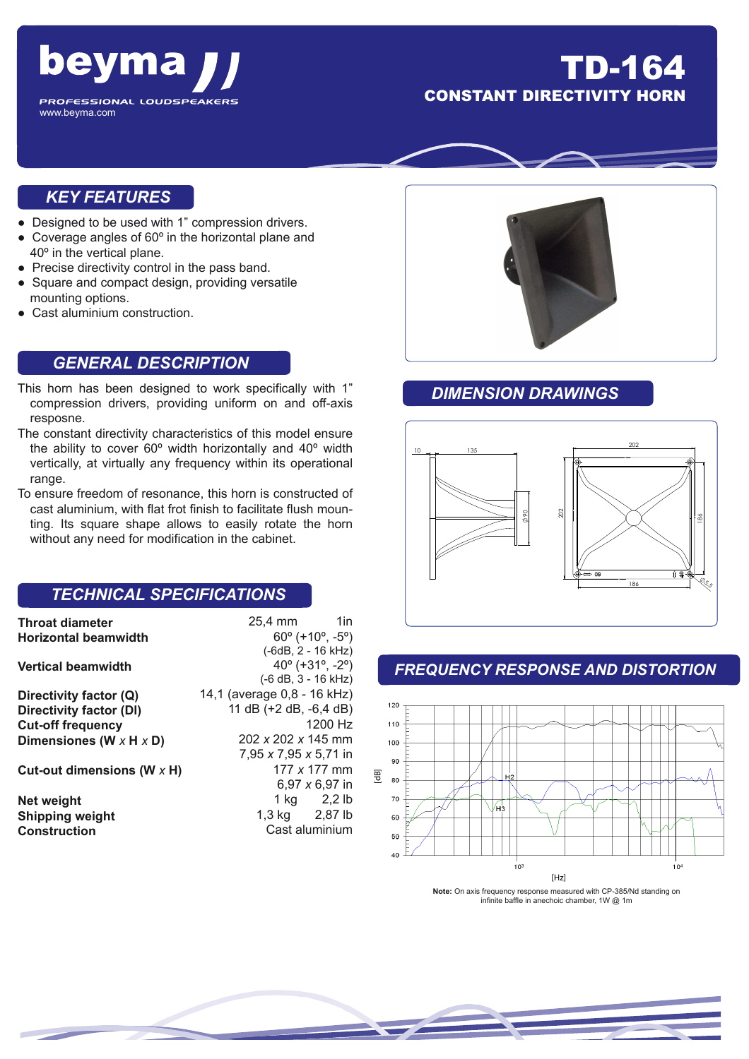

## TD-164 **CONSTANT DIRECTIVITY H**

#### *KEY FEATURES*

- Designed to be used with 1" compression drivers.
- Coverage angles of 60º in the horizontal plane and 40º in the vertical plane.
- Precise directivity control in the pass band.
- Square and compact design, providing versatile mounting options.
- Cast aluminium construction.

#### *GENERAL DESCRIPTION*

- This horn has been designed to work specifically with 1" compression drivers, providing uniform on and off-axis resposne.
- The constant directivity characteristics of this model ensure the ability to cover 60º width horizontally and 40º width vertically, at virtually any frequency within its operational range.
- To ensure freedom of resonance, this horn is constructed of cast aluminium, with flat frot finish to facilitate flush mounting. Its square shape allows to easily rotate the horn without any need for modification in the cabinet.

#### *TECHNICAL SPECIFICATIONS*

| <b>Throat diameter</b><br><b>Horizontal beamwidth</b> | 25,4 mm<br>1in<br>$60^{\circ}$ (+10 $^{\circ}$ , -5 $^{\circ}$ )<br>(-6dB, 2 - 16 kHz) |
|-------------------------------------------------------|----------------------------------------------------------------------------------------|
| <b>Vertical beamwidth</b>                             | $40^{\circ}$ (+31°, -2°)<br>$(-6 dB, 3 - 16 kHz)$                                      |
| Directivity factor (Q)                                | 14,1 (average 0,8 - 16 kHz)                                                            |
| Directivity factor (DI)                               | 11 dB (+2 dB, -6,4 dB)                                                                 |
| <b>Cut-off frequency</b>                              | $1200$ Hz                                                                              |
| Dimensiones (W $\times$ H $\times$ D)                 | 202 x 202 x 145 mm                                                                     |
|                                                       | $7.95 \times 7.95 \times 5.71$ in                                                      |
| Cut-out dimensions (W $\times$ H)                     | 177 x 177 mm                                                                           |
|                                                       | 6,97 x 6,97 in                                                                         |
| Net weight                                            | 1 kg 2,2 lb                                                                            |
| <b>Shipping weight</b>                                | 1,3 kg 2,87 lb                                                                         |
| <b>Construction</b>                                   | Cast aluminium                                                                         |



### *DIMENSION DRAWINGS*



#### *FREQUENCY RESPONSE AND DISTORTION*



**Note:** On axis frequency response measured with CP-385/Nd standing on infinite baffle in anechoic chamber, 1W @ 1m